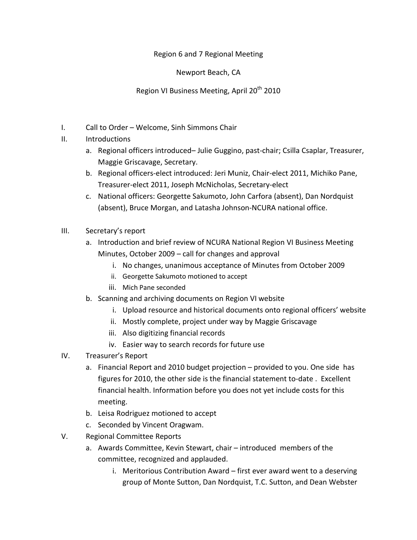## Region 6 and 7 Regional Meeting

Newport Beach, CA

Region VI Business Meeting, April 20<sup>th</sup> 2010

- I. Call to Order Welcome, Sinh Simmons Chair
- II. Introductions
	- a. Regional officers introduced– Julie Guggino, past-chair; Csilla Csaplar, Treasurer, Maggie Griscavage, Secretary.
	- b. Regional officers-elect introduced: Jeri Muniz, Chair-elect 2011, Michiko Pane, Treasurer-elect 2011, Joseph McNicholas, Secretary-elect
	- c. National officers: Georgette Sakumoto, John Carfora (absent), Dan Nordquist (absent), Bruce Morgan, and Latasha Johnson-NCURA national office.
- III. Secretary's report
	- a. Introduction and brief review of NCURA National Region VI Business Meeting Minutes, October 2009 – call for changes and approval
		- i. No changes, unanimous acceptance of Minutes from October 2009
		- ii. Georgette Sakumoto motioned to accept
		- iii. Mich Pane seconded
	- b. Scanning and archiving documents on Region VI website
		- i. Upload resource and historical documents onto regional officers' website
		- ii. Mostly complete, project under way by Maggie Griscavage
		- iii. Also digitizing financial records
		- iv. Easier way to search records for future use
- IV. Treasurer's Report
	- a. Financial Report and 2010 budget projection provided to you. One side has figures for 2010, the other side is the financial statement to-date . Excellent financial health. Information before you does not yet include costs for this meeting.
	- b. Leisa Rodriguez motioned to accept
	- c. Seconded by Vincent Oragwam.
- V. Regional Committee Reports
	- a. Awards Committee, Kevin Stewart, chair introduced members of the committee, recognized and applauded.
		- i. Meritorious Contribution Award first ever award went to a deserving group of Monte Sutton, Dan Nordquist, T.C. Sutton, and Dean Webster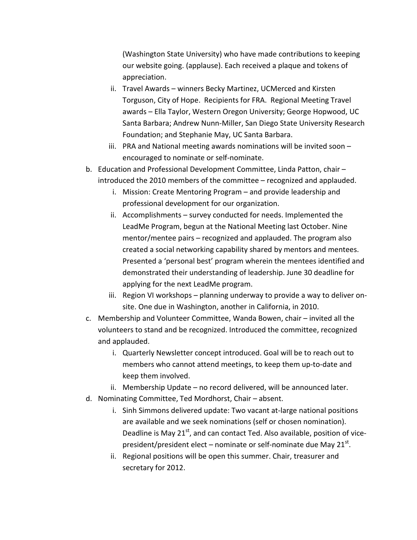(Washington State University) who have made contributions to keeping our website going. (applause). Each received a plaque and tokens of appreciation.

- ii. Travel Awards winners Becky Martinez, UCMerced and Kirsten Torguson, City of Hope. Recipients for FRA. Regional Meeting Travel awards – Ella Taylor, Western Oregon University; George Hopwood, UC Santa Barbara; Andrew Nunn-Miller, San Diego State University Research Foundation; and Stephanie May, UC Santa Barbara.
- iii. PRA and National meeting awards nominations will be invited soon encouraged to nominate or self-nominate.
- b. Education and Professional Development Committee, Linda Patton, chair introduced the 2010 members of the committee – recognized and applauded.
	- i. Mission: Create Mentoring Program and provide leadership and professional development for our organization.
	- ii. Accomplishments survey conducted for needs. Implemented the LeadMe Program, begun at the National Meeting last October. Nine mentor/mentee pairs – recognized and applauded. The program also created a social networking capability shared by mentors and mentees. Presented a 'personal best' program wherein the mentees identified and demonstrated their understanding of leadership. June 30 deadline for applying for the next LeadMe program.
	- iii. Region VI workshops planning underway to provide a way to deliver onsite. One due in Washington, another in California, in 2010.
- c. Membership and Volunteer Committee, Wanda Bowen, chair invited all the volunteers to stand and be recognized. Introduced the committee, recognized and applauded.
	- i. Quarterly Newsletter concept introduced. Goal will be to reach out to members who cannot attend meetings, to keep them up-to-date and keep them involved.
	- ii. Membership Update no record delivered, will be announced later.
- d. Nominating Committee, Ted Mordhorst, Chair absent.
	- i. Sinh Simmons delivered update: Two vacant at-large national positions are available and we seek nominations (self or chosen nomination). Deadline is May  $21<sup>st</sup>$ , and can contact Ted. Also available, position of vicepresident/president elect – nominate or self-nominate due May  $21^{st}$ .
	- ii. Regional positions will be open this summer. Chair, treasurer and secretary for 2012.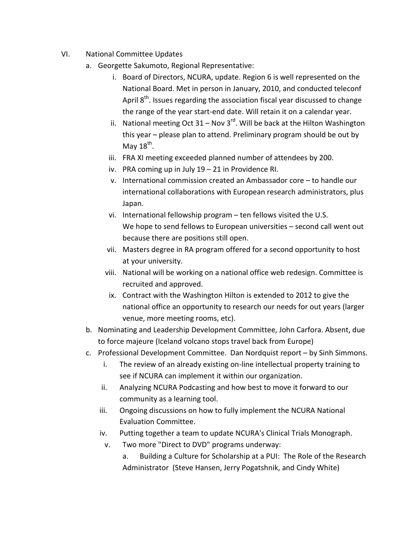- VI. National Committee Updates
	- a. Georgette Sakumoto, Regional Representative:
		- i. Board of Directors, NCURA, update. Region 6 is well represented on the National Board. Met in person in January, 2010, and conducted teleconf April  $8<sup>th</sup>$ . Issues regarding the association fiscal year discussed to change the range of the year start-end date. Will retain it on a calendar year.
		- ii. National meeting Oct 31 Nov 3 $^{rd}$ . Will be back at the Hilton Washington this year – please plan to attend. Preliminary program should be out by May  $18^{th}$ .
		- iii. FRA XI meeting exceeded planned number of attendees by 200.
		- iv. PRA coming up in July 19 21 in Providence RI.
		- v. International commission created an Ambassador core to handle our international collaborations with European research administrators, plus Japan.
		- vi. International fellowship program ten fellows visited the U.S. We hope to send fellows to European universities – second call went out because there are positions still open.
		- vii. Masters degree in RA program offered for a second opportunity to host at your university.
		- viii. National will be working on a national office web redesign. Committee is recruited and approved.
		- ix. Contract with the Washington Hilton is extended to 2012 to give the national office an opportunity to research our needs for out years (larger venue, more meeting rooms, etc).
	- b. Nominating and Leadership Development Committee, John Carfora. Absent, due to force majeure (Iceland volcano stops travel back from Europe)
	- c. Professional Development Committee. Dan Nordquist report by Sinh Simmons.
		- i. The review of an already existing on-line intellectual property training to see if NCURA can implement it within our organization.
		- ii. Analyzing NCURA Podcasting and how best to move it forward to our community as a learning tool.
		- iii. Ongoing discussions on how to fully implement the NCURA National Evaluation Committee.
		- iv. Putting together a team to update NCURA's Clinical Trials Monograph.
			- v. Two more "Direct to DVD" programs underway:
				- a. Building a Culture for Scholarship at a PUI: The Role of the Research Administrator (Steve Hansen, Jerry Pogatshnik, and Cindy White)